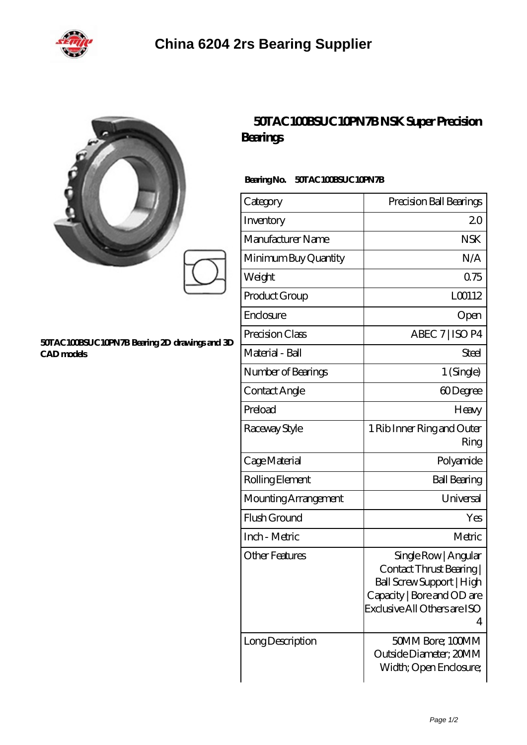

|                                                                    | Bearings                         | 50TAC 100BSUC 10PN7BNSK Super Precision                                                                                                        |
|--------------------------------------------------------------------|----------------------------------|------------------------------------------------------------------------------------------------------------------------------------------------|
| 50TAC100BSUC10PN7B Bearing 2D drawings and 3D<br><b>CAD</b> models | 50TAC100BSUC10PN7B<br>BearingNo. |                                                                                                                                                |
|                                                                    | Category                         | Precision Ball Bearings                                                                                                                        |
|                                                                    | Inventory                        | 20                                                                                                                                             |
|                                                                    | Manufacturer Name                | <b>NSK</b>                                                                                                                                     |
|                                                                    | Minimum Buy Quantity             | N/A                                                                                                                                            |
|                                                                    | Weight                           | 0.75                                                                                                                                           |
|                                                                    | Product Group                    | L00112                                                                                                                                         |
|                                                                    | Enclosure                        | Open                                                                                                                                           |
|                                                                    | Precision Class                  | ABEC 7   ISO P4                                                                                                                                |
|                                                                    | Material - Ball                  | <b>Steel</b>                                                                                                                                   |
|                                                                    | Number of Bearings               | 1 (Single)                                                                                                                                     |
|                                                                    | Contact Angle                    | 60Degree                                                                                                                                       |
|                                                                    | Preload                          | Heavy                                                                                                                                          |
|                                                                    | Raceway Style                    | 1 Rib Inner Ring and Outer<br>Ring                                                                                                             |
|                                                                    | Cage Material                    | Polyamide                                                                                                                                      |
|                                                                    | Rolling Element                  | <b>Ball Bearing</b>                                                                                                                            |
|                                                                    | Mounting Arrangement             | Universal                                                                                                                                      |
|                                                                    | Flush Ground                     | Yes                                                                                                                                            |
|                                                                    | Inch - Metric                    | Metric                                                                                                                                         |
|                                                                    | <b>Other Features</b>            | Single Row   Angular<br>Contact Thrust Bearing<br>Ball Screw Support   High<br>Capacity   Bore and OD are<br>Exclusive All Others are ISO<br>4 |
|                                                                    | Long Description                 | 50MM Bore; 100MM<br>Outside Diameter; 20MM                                                                                                     |

Width; Open Enclosure;